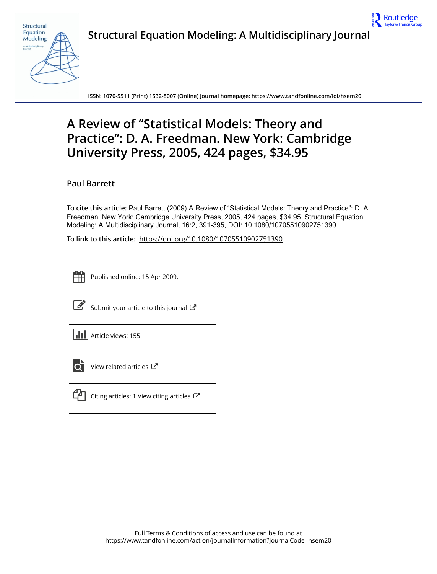

**Structural Equation Modeling: A Multidisciplinary Journal**



**ISSN: 1070-5511 (Print) 1532-8007 (Online) Journal homepage:<https://www.tandfonline.com/loi/hsem20>**

# **A Review of "Statistical Models: Theory and Practice": D. A. Freedman. New York: Cambridge University Press, 2005, 424 pages, \$34.95**

**Paul Barrett**

**To cite this article:** Paul Barrett (2009) A Review of "Statistical Models: Theory and Practice": D. A. Freedman. New York: Cambridge University Press, 2005, 424 pages, \$34.95, Structural Equation Modeling: A Multidisciplinary Journal, 16:2, 391-395, DOI: [10.1080/10705510902751390](https://www.tandfonline.com/action/showCitFormats?doi=10.1080/10705510902751390)

**To link to this article:** <https://doi.org/10.1080/10705510902751390>

Published online: 15 Apr 2009.



 $\overline{\mathscr{L}}$  [Submit your article to this journal](https://www.tandfonline.com/action/authorSubmission?journalCode=hsem20&show=instructions)  $\mathbb{F}$ 





 $\overrightarrow{Q}$  [View related articles](https://www.tandfonline.com/doi/mlt/10.1080/10705510902751390)  $\overrightarrow{C}$ 



[Citing articles: 1 View citing articles](https://www.tandfonline.com/doi/citedby/10.1080/10705510902751390#tabModule)  $\mathbb{Z}$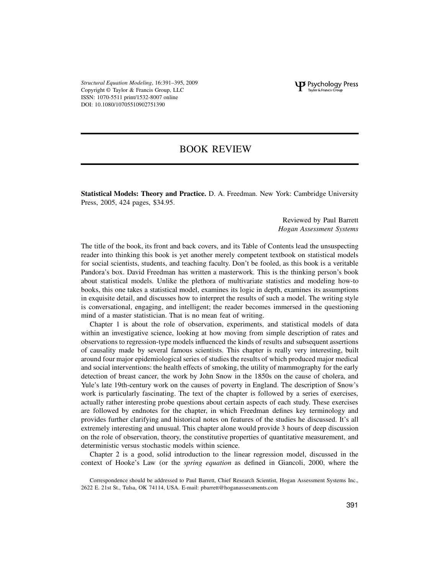Structural Equation Modeling, 16:391–395, 2009 Copyright © Taylor & Francis Group, LLC ISSN: 1070-5511 print/1532-8007 online DOI: 10.1080/10705510902751390

## BOOK REVIEW

Statistical Models: Theory and Practice. D. A. Freedman. New York: Cambridge University Press, 2005, 424 pages, \$34.95.

> Reviewed by Paul Barrett Hogan Assessment Systems

The title of the book, its front and back covers, and its Table of Contents lead the unsuspecting reader into thinking this book is yet another merely competent textbook on statistical models for social scientists, students, and teaching faculty. Don't be fooled, as this book is a veritable Pandora's box. David Freedman has written a masterwork. This is the thinking person's book about statistical models. Unlike the plethora of multivariate statistics and modeling how-to books, this one takes a statistical model, examines its logic in depth, examines its assumptions in exquisite detail, and discusses how to interpret the results of such a model. The writing style is conversational, engaging, and intelligent; the reader becomes immersed in the questioning mind of a master statistician. That is no mean feat of writing.

Chapter 1 is about the role of observation, experiments, and statistical models of data within an investigative science, looking at how moving from simple description of rates and observations to regression-type models influenced the kinds of results and subsequent assertions of causality made by several famous scientists. This chapter is really very interesting, built around four major epidemiological series of studies the results of which produced major medical and social interventions: the health effects of smoking, the utility of mammography for the early detection of breast cancer, the work by John Snow in the 1850s on the cause of cholera, and Yule's late 19th-century work on the causes of poverty in England. The description of Snow's work is particularly fascinating. The text of the chapter is followed by a series of exercises, actually rather interesting probe questions about certain aspects of each study. These exercises are followed by endnotes for the chapter, in which Freedman defines key terminology and provides further clarifying and historical notes on features of the studies he discussed. It's all extremely interesting and unusual. This chapter alone would provide 3 hours of deep discussion on the role of observation, theory, the constitutive properties of quantitative measurement, and deterministic versus stochastic models within science.

Chapter 2 is a good, solid introduction to the linear regression model, discussed in the context of Hooke's Law (or the *spring equation* as defined in Giancoli, 2000, where the

Correspondence should be addressed to Paul Barrett, Chief Research Scientist, Hogan Assessment Systems Inc., 2622 E. 21st St., Tulsa, OK 74114, USA. E-mail: pbarrett@hoganassessments.com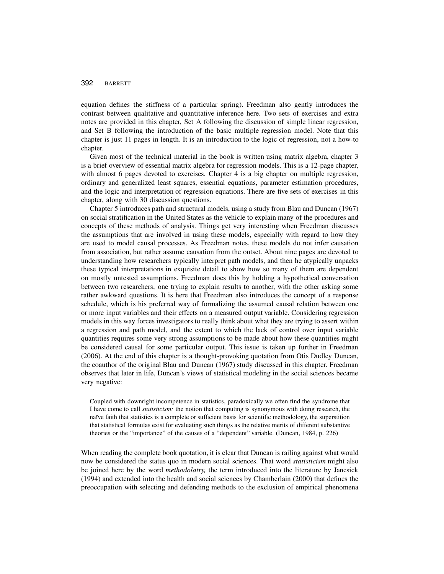#### 392 BARRETT

equation defines the stiffness of a particular spring). Freedman also gently introduces the contrast between qualitative and quantitative inference here. Two sets of exercises and extra notes are provided in this chapter, Set A following the discussion of simple linear regression, and Set B following the introduction of the basic multiple regression model. Note that this chapter is just 11 pages in length. It is an introduction to the logic of regression, not a how-to chapter.

Given most of the technical material in the book is written using matrix algebra, chapter 3 is a brief overview of essential matrix algebra for regression models. This is a 12-page chapter, with almost 6 pages devoted to exercises. Chapter 4 is a big chapter on multiple regression, ordinary and generalized least squares, essential equations, parameter estimation procedures, and the logic and interpretation of regression equations. There are five sets of exercises in this chapter, along with 30 discussion questions.

Chapter 5 introduces path and structural models, using a study from Blau and Duncan (1967) on social stratification in the United States as the vehicle to explain many of the procedures and concepts of these methods of analysis. Things get very interesting when Freedman discusses the assumptions that are involved in using these models, especially with regard to how they are used to model causal processes. As Freedman notes, these models do not infer causation from association, but rather assume causation from the outset. About nine pages are devoted to understanding how researchers typically interpret path models, and then he atypically unpacks these typical interpretations in exquisite detail to show how so many of them are dependent on mostly untested assumptions. Freedman does this by holding a hypothetical conversation between two researchers, one trying to explain results to another, with the other asking some rather awkward questions. It is here that Freedman also introduces the concept of a response schedule, which is his preferred way of formalizing the assumed causal relation between one or more input variables and their effects on a measured output variable. Considering regression models in this way forces investigators to really think about what they are trying to assert within a regression and path model, and the extent to which the lack of control over input variable quantities requires some very strong assumptions to be made about how these quantities might be considered causal for some particular output. This issue is taken up further in Freedman (2006). At the end of this chapter is a thought-provoking quotation from Otis Dudley Duncan, the coauthor of the original Blau and Duncan (1967) study discussed in this chapter. Freedman observes that later in life, Duncan's views of statistical modeling in the social sciences became very negative:

Coupled with downright incompetence in statistics, paradoxically we often find the syndrome that I have come to call statisticism: the notion that computing is synonymous with doing research, the naïve faith that statistics is a complete or sufficient basis for scientific methodology, the superstition that statistical formulas exist for evaluating such things as the relative merits of different substantive theories or the "importance" of the causes of a "dependent" variable. (Duncan, 1984, p. 226)

When reading the complete book quotation, it is clear that Duncan is railing against what would now be considered the status quo in modern social sciences. That word *statisticism* might also be joined here by the word *methodolatry*, the term introduced into the literature by Janesick (1994) and extended into the health and social sciences by Chamberlain (2000) that defines the preoccupation with selecting and defending methods to the exclusion of empirical phenomena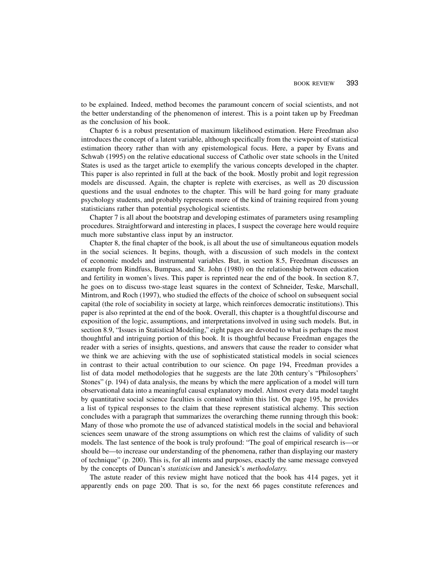to be explained. Indeed, method becomes the paramount concern of social scientists, and not the better understanding of the phenomenon of interest. This is a point taken up by Freedman as the conclusion of his book.

Chapter 6 is a robust presentation of maximum likelihood estimation. Here Freedman also introduces the concept of a latent variable, although specifically from the viewpoint of statistical estimation theory rather than with any epistemological focus. Here, a paper by Evans and Schwab (1995) on the relative educational success of Catholic over state schools in the United States is used as the target article to exemplify the various concepts developed in the chapter. This paper is also reprinted in full at the back of the book. Mostly probit and logit regression models are discussed. Again, the chapter is replete with exercises, as well as 20 discussion questions and the usual endnotes to the chapter. This will be hard going for many graduate psychology students, and probably represents more of the kind of training required from young statisticians rather than potential psychological scientists.

Chapter 7 is all about the bootstrap and developing estimates of parameters using resampling procedures. Straightforward and interesting in places, I suspect the coverage here would require much more substantive class input by an instructor.

Chapter 8, the final chapter of the book, is all about the use of simultaneous equation models in the social sciences. It begins, though, with a discussion of such models in the context of economic models and instrumental variables. But, in section 8.5, Freedman discusses an example from Rindfuss, Bumpass, and St. John (1980) on the relationship between education and fertility in women's lives. This paper is reprinted near the end of the book. In section 8.7, he goes on to discuss two-stage least squares in the context of Schneider, Teske, Marschall, Mintrom, and Roch (1997), who studied the effects of the choice of school on subsequent social capital (the role of sociability in society at large, which reinforces democratic institutions). This paper is also reprinted at the end of the book. Overall, this chapter is a thoughtful discourse and exposition of the logic, assumptions, and interpretations involved in using such models. But, in section 8.9, "Issues in Statistical Modeling," eight pages are devoted to what is perhaps the most thoughtful and intriguing portion of this book. It is thoughtful because Freedman engages the reader with a series of insights, questions, and answers that cause the reader to consider what we think we are achieving with the use of sophisticated statistical models in social sciences in contrast to their actual contribution to our science. On page 194, Freedman provides a list of data model methodologies that he suggests are the late 20th century's "Philosophers' Stones" (p. 194) of data analysis, the means by which the mere application of a model will turn observational data into a meaningful causal explanatory model. Almost every data model taught by quantitative social science faculties is contained within this list. On page 195, he provides a list of typical responses to the claim that these represent statistical alchemy. This section concludes with a paragraph that summarizes the overarching theme running through this book: Many of those who promote the use of advanced statistical models in the social and behavioral sciences seem unaware of the strong assumptions on which rest the claims of validity of such models. The last sentence of the book is truly profound: "The goal of empirical research is—or should be—to increase our understanding of the phenomena, rather than displaying our mastery of technique" (p. 200). This is, for all intents and purposes, exactly the same message conveyed by the concepts of Duncan's *statisticism* and Janesick's *methodolatry*.

The astute reader of this review might have noticed that the book has 414 pages, yet it apparently ends on page 200. That is so, for the next 66 pages constitute references and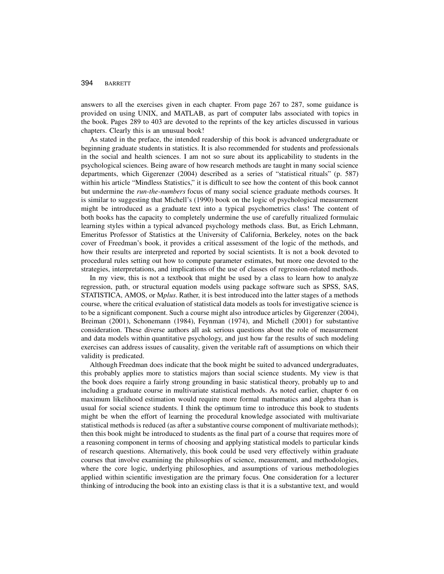### 394 BARRETT

answers to all the exercises given in each chapter. From page 267 to 287, some guidance is provided on using UNIX, and MATLAB, as part of computer labs associated with topics in the book. Pages 289 to 403 are devoted to the reprints of the key articles discussed in various chapters. Clearly this is an unusual book!

As stated in the preface, the intended readership of this book is advanced undergraduate or beginning graduate students in statistics. It is also recommended for students and professionals in the social and health sciences. I am not so sure about its applicability to students in the psychological sciences. Being aware of how research methods are taught in many social science departments, which Gigerenzer (2004) described as a series of "statistical rituals" (p. 587) within his article "Mindless Statistics," it is difficult to see how the content of this book cannot but undermine the *run-the-numbers* focus of many social science graduate methods courses. It is similar to suggesting that Michell's (1990) book on the logic of psychological measurement might be introduced as a graduate text into a typical psychometrics class! The content of both books has the capacity to completely undermine the use of carefully ritualized formulaic learning styles within a typical advanced psychology methods class. But, as Erich Lehmann, Emeritus Professor of Statistics at the University of California, Berkeley, notes on the back cover of Freedman's book, it provides a critical assessment of the logic of the methods, and how their results are interpreted and reported by social scientists. It is not a book devoted to procedural rules setting out how to compute parameter estimates, but more one devoted to the strategies, interpretations, and implications of the use of classes of regression-related methods.

In my view, this is not a textbook that might be used by a class to learn how to analyze regression, path, or structural equation models using package software such as SPSS, SAS, STATISTICA, AMOS, or Mplus. Rather, it is best introduced into the latter stages of a methods course, where the critical evaluation of statistical data models as tools for investigative science is to be a significant component. Such a course might also introduce articles by Gigerenzer (2004), Breiman (2001), Schonemann (1984), Feynman (1974), and Michell (2001) for substantive consideration. These diverse authors all ask serious questions about the role of measurement and data models within quantitative psychology, and just how far the results of such modeling exercises can address issues of causality, given the veritable raft of assumptions on which their validity is predicated.

Although Freedman does indicate that the book might be suited to advanced undergraduates, this probably applies more to statistics majors than social science students. My view is that the book does require a fairly strong grounding in basic statistical theory, probably up to and including a graduate course in multivariate statistical methods. As noted earlier, chapter 6 on maximum likelihood estimation would require more formal mathematics and algebra than is usual for social science students. I think the optimum time to introduce this book to students might be when the effort of learning the procedural knowledge associated with multivariate statistical methods is reduced (as after a substantive course component of multivariate methods); then this book might be introduced to students as the final part of a course that requires more of a reasoning component in terms of choosing and applying statistical models to particular kinds of research questions. Alternatively, this book could be used very effectively within graduate courses that involve examining the philosophies of science, measurement, and methodologies, where the core logic, underlying philosophies, and assumptions of various methodologies applied within scientific investigation are the primary focus. One consideration for a lecturer thinking of introducing the book into an existing class is that it is a substantive text, and would